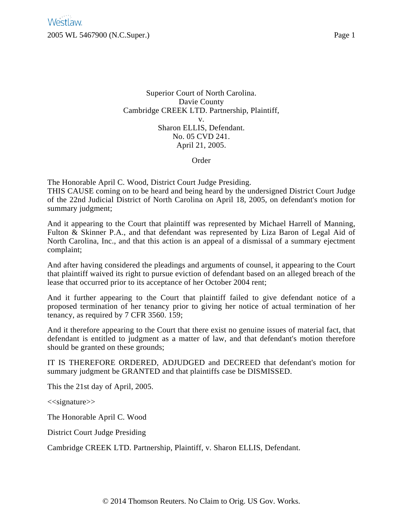Superior Court of North Carolina. Davie County Cambridge CREEK LTD. Partnership, Plaintiff, v. Sharon ELLIS, Defendant. No. 05 CVD 241. April 21, 2005.

Order

The Honorable April C. Wood, District Court Judge Presiding. THIS CAUSE coming on to be heard and being heard by the undersigned District Court Judge of the 22nd Judicial District of North Carolina on April 18, 2005, on defendant's motion for summary judgment;

And it appearing to the Court that plaintiff was represented by Michael Harrell of Manning, Fulton & Skinner P.A., and that defendant was represented by Liza Baron of Legal Aid of North Carolina, Inc., and that this action is an appeal of a dismissal of a summary ejectment complaint;

And after having considered the pleadings and arguments of counsel, it appearing to the Court that plaintiff waived its right to pursue eviction of defendant based on an alleged breach of the lease that occurred prior to its acceptance of her October 2004 rent;

And it further appearing to the Court that plaintiff failed to give defendant notice of a proposed termination of her tenancy prior to giving her notice of actual termination of her tenancy, as required by 7 CFR 3560. 159;

And it therefore appearing to the Court that there exist no genuine issues of material fact, that defendant is entitled to judgment as a matter of law, and that defendant's motion therefore should be granted on these grounds;

IT IS THEREFORE ORDERED, ADJUDGED and DECREED that defendant's motion for summary judgment be GRANTED and that plaintiffs case be DISMISSED.

This the 21st day of April, 2005.

<<signature>>

The Honorable April C. Wood

District Court Judge Presiding

Cambridge CREEK LTD. Partnership, Plaintiff, v. Sharon ELLIS, Defendant.